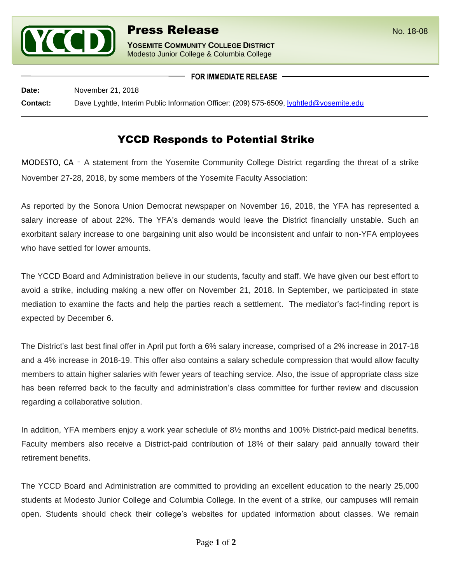

**YOSEMITE COMMUNITY COLLEGE DISTRICT** Modesto Junior College & Columbia College

**FOR IMMEDIATE RELEASE**

**Date:** November 21, 2018 **Contact:** Dave Lyghtle, Interim Public Information Officer: (209) 575-6509, [lyghtled@yosemite.edu](mailto:lyghtled@yosemite.edu)

## YCCD Responds to Potential Strike

MODESTO, CA – A statement from the Yosemite Community College District regarding the threat of a strike November 27-28, 2018, by some members of the Yosemite Faculty Association:

As reported by the Sonora Union Democrat newspaper on November 16, 2018, the YFA has represented a salary increase of about 22%. The YFA's demands would leave the District financially unstable. Such an exorbitant salary increase to one bargaining unit also would be inconsistent and unfair to non-YFA employees who have settled for lower amounts.

The YCCD Board and Administration believe in our students, faculty and staff. We have given our best effort to avoid a strike, including making a new offer on November 21, 2018. In September, we participated in state mediation to examine the facts and help the parties reach a settlement. The mediator's fact-finding report is expected by December 6.

The District's last best final offer in April put forth a 6% salary increase, comprised of a 2% increase in 2017-18 and a 4% increase in 2018-19. This offer also contains a salary schedule compression that would allow faculty members to attain higher salaries with fewer years of teaching service. Also, the issue of appropriate class size has been referred back to the faculty and administration's class committee for further review and discussion regarding a collaborative solution.

In addition, YFA members enjoy a work year schedule of 8½ months and 100% District-paid medical benefits. Faculty members also receive a District-paid contribution of 18% of their salary paid annually toward their retirement benefits.

The YCCD Board and Administration are committed to providing an excellent education to the nearly 25,000 students at Modesto Junior College and Columbia College. In the event of a strike, our campuses will remain open. Students should check their college's websites for updated information about classes. We remain